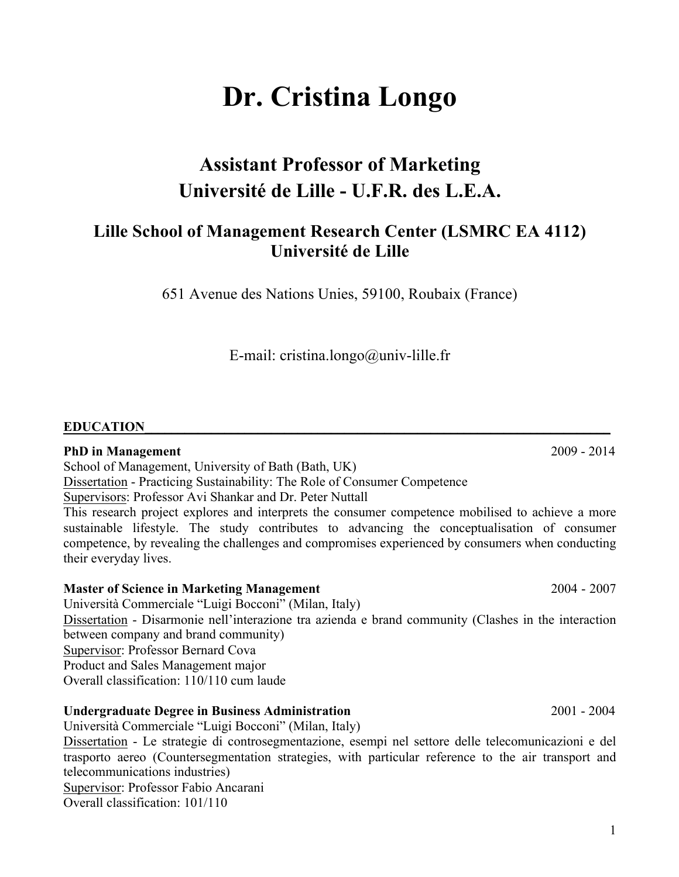1

# **Dr. Cristina Longo**

# **Assistant Professor of Marketing Université de Lille - U.F.R. des L.E.A.**

## **Lille School of Management Research Center (LSMRC EA 4112) Université de Lille**

651 Avenue des Nations Unies, 59100, Roubaix (France)

E-mail: cristina.longo@univ-lille.fr

#### **EDUCATION**

#### **PhD in Management** 2009 - 2014

School of Management, University of Bath (Bath, UK)

Dissertation - Practicing Sustainability: The Role of Consumer Competence

Supervisors: Professor Avi Shankar and Dr. Peter Nuttall

This research project explores and interprets the consumer competence mobilised to achieve a more sustainable lifestyle. The study contributes to advancing the conceptualisation of consumer competence, by revealing the challenges and compromises experienced by consumers when conducting their everyday lives.

#### **Master of Science in Marketing Management** 2004 - 2007

Università Commerciale "Luigi Bocconi" (Milan, Italy) Dissertation - Disarmonie nell'interazione tra azienda e brand community (Clashes in the interaction between company and brand community) Supervisor: Professor Bernard Cova Product and Sales Management major Overall classification: 110/110 cum laude

#### **Undergraduate Degree in Business Administration** 2001 - 2004

Università Commerciale "Luigi Bocconi" (Milan, Italy)

Dissertation - Le strategie di controsegmentazione, esempi nel settore delle telecomunicazioni e del trasporto aereo (Countersegmentation strategies, with particular reference to the air transport and telecommunications industries)

Supervisor: Professor Fabio Ancarani

Overall classification: 101/110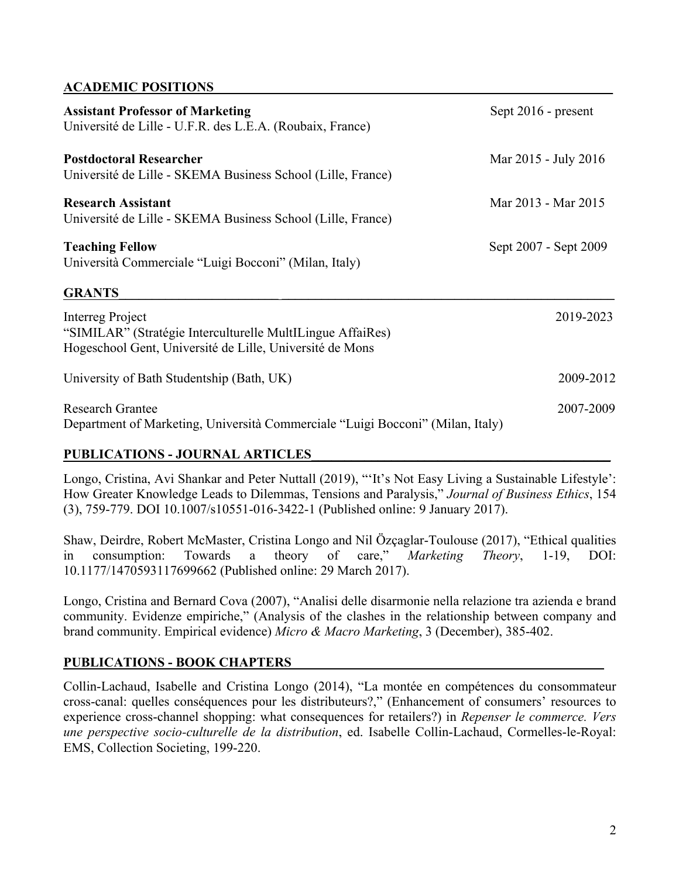#### **ACADEMIC POSITIONS\_\_\_\_\_\_\_\_\_\_\_\_\_\_\_\_\_\_\_\_\_\_\_\_\_\_\_\_\_\_\_\_\_\_\_\_\_\_\_\_\_\_\_\_\_\_\_\_\_\_\_\_\_\_\_\_\_\_\_\_**

| <b>Assistant Professor of Marketing</b><br>Université de Lille - U.F.R. des L.E.A. (Roubaix, France)                                       | Sept 2016 - present   |
|--------------------------------------------------------------------------------------------------------------------------------------------|-----------------------|
| <b>Postdoctoral Researcher</b><br>Université de Lille - SKEMA Business School (Lille, France)                                              | Mar 2015 - July 2016  |
| <b>Research Assistant</b><br>Université de Lille - SKEMA Business School (Lille, France)                                                   | Mar 2013 - Mar 2015   |
| <b>Teaching Fellow</b><br>Università Commerciale "Luigi Bocconi" (Milan, Italy)                                                            | Sept 2007 - Sept 2009 |
| <b>GRANTS</b>                                                                                                                              |                       |
| Interreg Project<br>"SIMILAR" (Stratégie Interculturelle MultILingue AffaiRes)<br>Hogeschool Gent, Université de Lille, Université de Mons | 2019-2023             |
| University of Bath Studentship (Bath, UK)                                                                                                  | 2009-2012             |
| <b>Research Grantee</b><br>Department of Marketing, Università Commerciale "Luigi Bocconi" (Milan, Italy)                                  | 2007-2009             |

#### **PUBLICATIONS - JOURNAL ARTICLES\_\_\_\_\_\_\_\_\_\_\_\_\_\_\_\_\_\_\_\_\_\_\_\_\_\_\_\_\_\_\_\_\_\_\_\_\_\_\_\_\_\_\_\_\_**

Longo, Cristina, Avi Shankar and Peter Nuttall (2019), "'It's Not Easy Living a Sustainable Lifestyle': How Greater Knowledge Leads to Dilemmas, Tensions and Paralysis," *Journal of Business Ethics*, 154 (3), 759-779. DOI 10.1007/s10551-016-3422-1 (Published online: 9 January 2017).

Shaw, Deirdre, Robert McMaster, Cristina Longo and Nil Özçaglar-Toulouse (2017), "Ethical qualities in consumption: Towards a theory of care," *Marketing Theory*, 1-19, DOI: 10.1177/1470593117699662 (Published online: 29 March 2017).

Longo, Cristina and Bernard Cova (2007), "Analisi delle disarmonie nella relazione tra azienda e brand community. Evidenze empiriche," (Analysis of the clashes in the relationship between company and brand community. Empirical evidence) *Micro & Macro Marketing*, 3 (December), 385-402.

### **PUBLICATIONS - BOOK CHAPTERS\_\_\_\_\_\_\_\_\_\_\_\_\_\_\_\_\_\_\_\_\_\_\_\_\_\_\_\_\_\_\_\_\_\_\_\_\_\_\_\_\_\_\_\_\_\_\_**

Collin-Lachaud, Isabelle and Cristina Longo (2014), "La montée en compétences du consommateur cross-canal: quelles conséquences pour les distributeurs?," (Enhancement of consumers' resources to experience cross-channel shopping: what consequences for retailers?) in *Repenser le commerce. Vers une perspective socio-culturelle de la distribution*, ed. Isabelle Collin-Lachaud, Cormelles-le-Royal: EMS, Collection Societing, 199-220.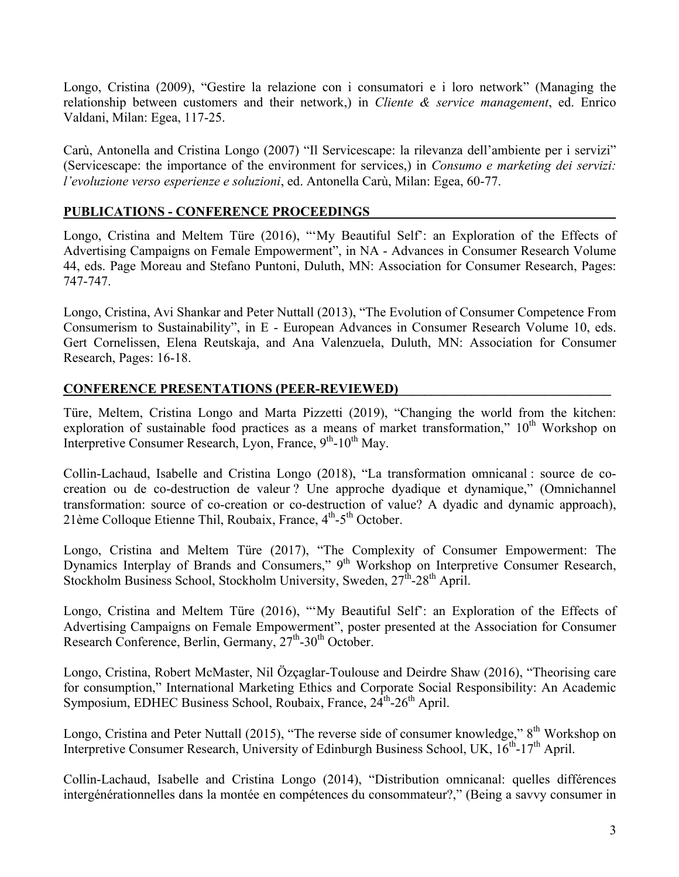Longo, Cristina (2009), "Gestire la relazione con i consumatori e i loro network" (Managing the relationship between customers and their network,) in *Cliente & service management*, ed. Enrico Valdani, Milan: Egea, 117-25.

Carù, Antonella and Cristina Longo (2007) "Il Servicescape: la rilevanza dell'ambiente per i servizi" (Servicescape: the importance of the environment for services,) in *Consumo e marketing dei servizi: l'evoluzione verso esperienze e soluzioni*, ed. Antonella Carù, Milan: Egea, 60-77.

#### **PUBLICATIONS - CONFERENCE PROCEEDINGS\_\_\_\_\_\_\_\_\_\_\_\_\_\_\_\_\_\_\_\_\_\_\_\_\_\_\_\_\_\_\_\_\_\_\_\_\_**

Longo, Cristina and Meltem Türe (2016), "'My Beautiful Self': an Exploration of the Effects of Advertising Campaigns on Female Empowerment", in NA - Advances in Consumer Research Volume 44, eds. Page Moreau and Stefano Puntoni, Duluth, MN: Association for Consumer Research, Pages: 747-747.

Longo, Cristina, Avi Shankar and Peter Nuttall (2013), "The Evolution of Consumer Competence From Consumerism to Sustainability", in E - European Advances in Consumer Research Volume 10, eds. Gert Cornelissen, Elena Reutskaja, and Ana Valenzuela, Duluth, MN: Association for Consumer Research, Pages: 16-18.

#### **CONFERENCE PRESENTATIONS (PEER-REVIEWED)**

Türe, Meltem, Cristina Longo and Marta Pizzetti (2019), "Changing the world from the kitchen: exploration of sustainable food practices as a means of market transformation,"  $10<sup>th</sup>$  Workshop on Interpretive Consumer Research, Lyon, France, 9<sup>th</sup>-10<sup>th</sup> May.

Collin-Lachaud, Isabelle and Cristina Longo (2018), "La transformation omnicanal : source de cocreation ou de co-destruction de valeur ? Une approche dyadique et dynamique," (Omnichannel transformation: source of co-creation or co-destruction of value? A dyadic and dynamic approach), 21ème Colloque Etienne Thil, Roubaix, France,  $4<sup>th</sup> - 5<sup>th</sup>$  October.

Longo, Cristina and Meltem Türe (2017), "The Complexity of Consumer Empowerment: The Dynamics Interplay of Brands and Consumers," 9<sup>th</sup> Workshop on Interpretive Consumer Research, Stockholm Business School, Stockholm University, Sweden, 27<sup>th</sup>-28<sup>th</sup> April.

Longo, Cristina and Meltem Türe (2016), "'My Beautiful Self': an Exploration of the Effects of Advertising Campaigns on Female Empowerment", poster presented at the Association for Consumer Research Conference, Berlin, Germany,  $27<sup>th</sup> - 30<sup>th</sup>$  October.

Longo, Cristina, Robert McMaster, Nil Özçaglar-Toulouse and Deirdre Shaw (2016), "Theorising care for consumption," International Marketing Ethics and Corporate Social Responsibility: An Academic Symposium, EDHEC Business School, Roubaix, France, 24<sup>th</sup>-26<sup>th</sup> April.

Longo, Cristina and Peter Nuttall (2015), "The reverse side of consumer knowledge," 8<sup>th</sup> Workshop on Interpretive Consumer Research, University of Edinburgh Business School, UK,  $16^{th}$ -17<sup>th</sup> April.

Collin-Lachaud, Isabelle and Cristina Longo (2014), "Distribution omnicanal: quelles différences intergénérationnelles dans la montée en compétences du consommateur?," (Being a savvy consumer in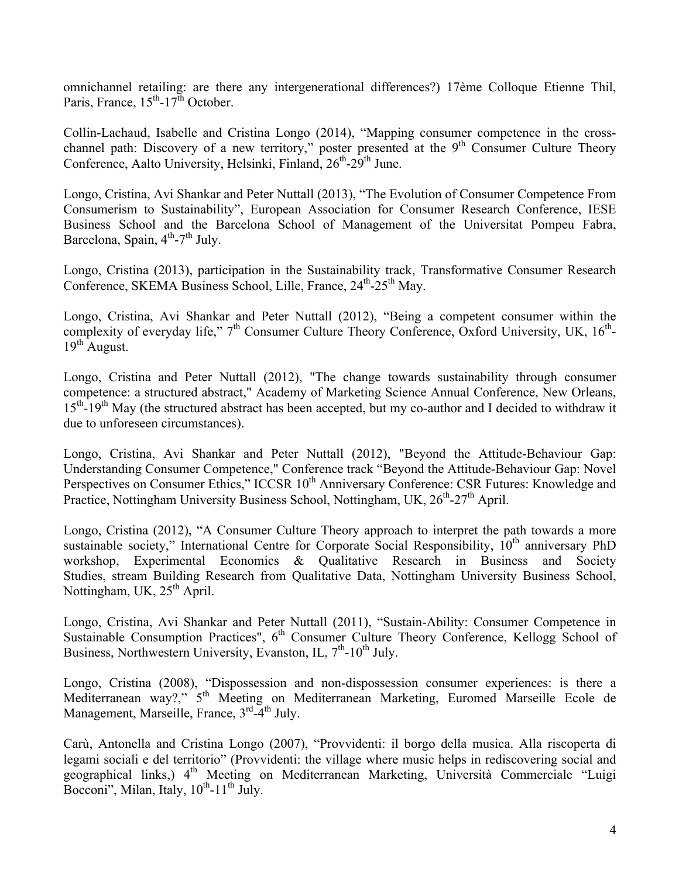omnichannel retailing: are there any intergenerational differences?) 17ème Colloque Etienne Thil, Paris, France,  $15^{th}$ - $17^{th}$  October.

Collin-Lachaud, Isabelle and Cristina Longo (2014), "Mapping consumer competence in the crosschannel path: Discovery of a new territory," poster presented at the 9<sup>th</sup> Consumer Culture Theory Conference, Aalto University, Helsinki, Finland,  $26<sup>th</sup>$ -29<sup>th</sup> June.

Longo, Cristina, Avi Shankar and Peter Nuttall (2013), "The Evolution of Consumer Competence From Consumerism to Sustainability", European Association for Consumer Research Conference, IESE Business School and the Barcelona School of Management of the Universitat Pompeu Fabra, Barcelona, Spain,  $4^{th}$ -7<sup>th</sup> July.

Longo, Cristina (2013), participation in the Sustainability track, Transformative Consumer Research Conference, SKEMA Business School, Lille, France,  $24<sup>th</sup>$ - $25<sup>th</sup>$  May.

Longo, Cristina, Avi Shankar and Peter Nuttall (2012), "Being a competent consumer within the complexity of everyday life,"  $7<sup>th</sup>$  Consumer Culture Theory Conference, Oxford University, UK,  $16<sup>th</sup>$ - $19^{th}$  August.

Longo, Cristina and Peter Nuttall (2012), "The change towards sustainability through consumer competence: a structured abstract," Academy of Marketing Science Annual Conference, New Orleans, 15<sup>th</sup>-19<sup>th</sup> May (the structured abstract has been accepted, but my co-author and I decided to withdraw it due to unforeseen circumstances).

Longo, Cristina, Avi Shankar and Peter Nuttall (2012), "Beyond the Attitude-Behaviour Gap: Understanding Consumer Competence," Conference track "Beyond the Attitude-Behaviour Gap: Novel Perspectives on Consumer Ethics," ICCSR 10<sup>th</sup> Anniversary Conference: CSR Futures: Knowledge and Practice, Nottingham University Business School, Nottingham, UK,  $26<sup>th</sup> - 27<sup>th</sup>$  April.

Longo, Cristina (2012), "A Consumer Culture Theory approach to interpret the path towards a more sustainable society," International Centre for Corporate Social Responsibility,  $10<sup>th</sup>$  anniversary PhD workshop, Experimental Economics & Qualitative Research in Business and Society Studies, stream Building Research from Qualitative Data, Nottingham University Business School, Nottingham, UK,  $25<sup>th</sup>$  April.

Longo, Cristina, Avi Shankar and Peter Nuttall (2011), "Sustain-Ability: Consumer Competence in Sustainable Consumption Practices",  $6<sup>th</sup>$  Consumer Culture Theory Conference, Kellogg School of Business, Northwestern University, Evanston, IL,  $7<sup>th</sup>$ -10<sup>th</sup> July.

Longo, Cristina (2008), "Dispossession and non-dispossession consumer experiences: is there a Mediterranean way?," 5<sup>th</sup> Meeting on Mediterranean Marketing, Euromed Marseille Ecole de Management, Marseille, France, 3<sup>rd</sup>-4<sup>th</sup> July.

Carù, Antonella and Cristina Longo (2007), "Provvidenti: il borgo della musica. Alla riscoperta di legami sociali e del territorio" (Provvidenti: the village where music helps in rediscovering social and geographical links,) 4<sup>th</sup> Meeting on Mediterranean Marketing, Università Commerciale "Luigi Bocconi", Milan, Italy,  $10^{th}$ -11<sup>th</sup> July.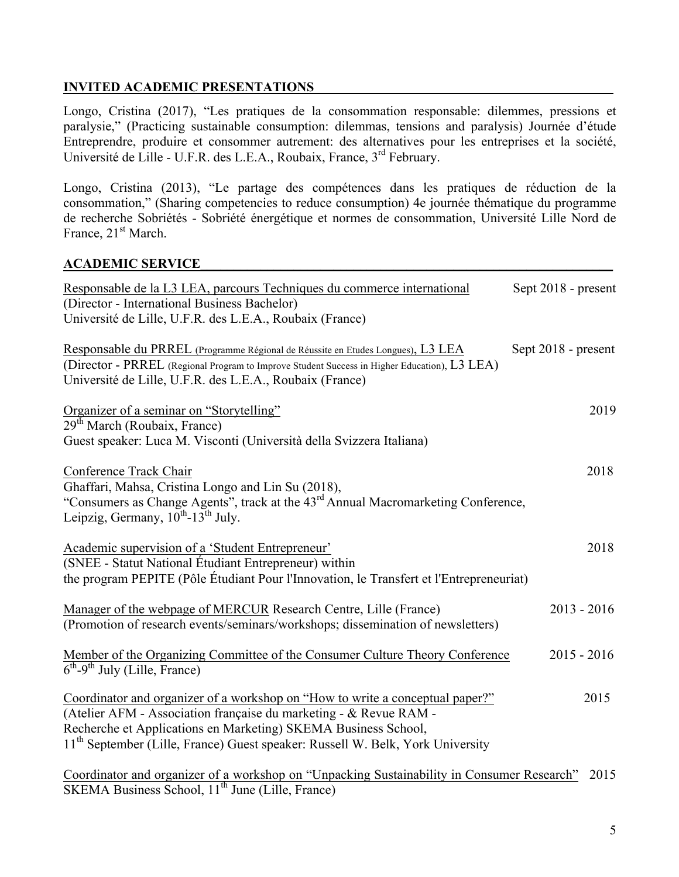#### **INVITED ACADEMIC PRESENTATIONS**

Longo, Cristina (2017), "Les pratiques de la consommation responsable: dilemmes, pressions et paralysie," (Practicing sustainable consumption: dilemmas, tensions and paralysis) Journée d'étude Entreprendre, produire et consommer autrement: des alternatives pour les entreprises et la société, Université de Lille - U.F.R. des L.E.A., Roubaix, France, 3rd February.

Longo, Cristina (2013), "Le partage des compétences dans les pratiques de réduction de la consommation," (Sharing competencies to reduce consumption) 4e journée thématique du programme de recherche Sobriétés - Sobriété énergétique et normes de consommation, Université Lille Nord de France, 21<sup>st</sup> March.

#### **ACADEMIC SERVICE\_\_\_\_\_\_\_\_\_\_\_\_\_\_\_\_\_\_\_\_\_\_\_\_\_\_\_\_\_\_\_\_\_\_\_\_\_\_\_\_\_\_\_\_\_\_\_\_\_\_\_\_\_\_\_\_\_\_\_\_\_\_**

| Responsable de la L3 LEA, parcours Techniques du commerce international<br>(Director - International Business Bachelor)<br>Université de Lille, U.F.R. des L.E.A., Roubaix (France)                                                                                                                                | Sept 2018 - present |
|--------------------------------------------------------------------------------------------------------------------------------------------------------------------------------------------------------------------------------------------------------------------------------------------------------------------|---------------------|
| Responsable du PRREL (Programme Régional de Réussite en Etudes Longues), L3 LEA<br>(Director - PRREL (Regional Program to Improve Student Success in Higher Education), L3 LEA)<br>Université de Lille, U.F.R. des L.E.A., Roubaix (France)                                                                        | Sept 2018 - present |
| Organizer of a seminar on "Storytelling"<br>29 <sup>th</sup> March (Roubaix, France)<br>Guest speaker: Luca M. Visconti (Università della Svizzera Italiana)                                                                                                                                                       | 2019                |
| Conference Track Chair<br>Ghaffari, Mahsa, Cristina Longo and Lin Su (2018),<br>"Consumers as Change Agents", track at the 43 <sup>rd</sup> Annual Macromarketing Conference,<br>Leipzig, Germany, $10^{th}$ -13 <sup>th</sup> July.                                                                               | 2018                |
| Academic supervision of a 'Student Entrepreneur'<br>(SNEE - Statut National Étudiant Entrepreneur) within<br>the program PEPITE (Pôle Étudiant Pour l'Innovation, le Transfert et l'Entrepreneuriat)                                                                                                               | 2018                |
| Manager of the webpage of MERCUR Research Centre, Lille (France)<br>(Promotion of research events/seminars/workshops; dissemination of newsletters)                                                                                                                                                                | $2013 - 2016$       |
| Member of the Organizing Committee of the Consumer Culture Theory Conference<br>$6th-9th$ July (Lille, France)                                                                                                                                                                                                     | $2015 - 2016$       |
| Coordinator and organizer of a workshop on "How to write a conceptual paper?"<br>(Atelier AFM - Association française du marketing - & Revue RAM -<br>Recherche et Applications en Marketing) SKEMA Business School,<br>11 <sup>th</sup> September (Lille, France) Guest speaker: Russell W. Belk, York University | 2015                |
| Coordinator and organizer of a workshop on "Unpacking Sustainability in Consumer Research"<br>SKEMA Business School, 11 <sup>th</sup> June (Lille, France)                                                                                                                                                         | 2015                |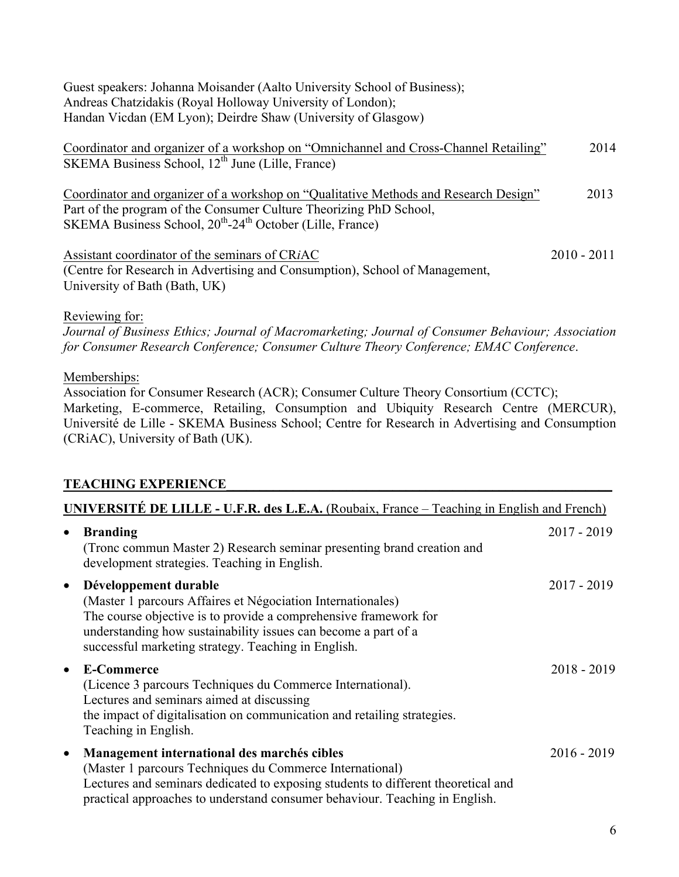Guest speakers: Johanna Moisander (Aalto University School of Business); Andreas Chatzidakis (Royal Holloway University of London); Handan Vicdan (EM Lyon); Deirdre Shaw (University of Glasgow)

| Coordinator and organizer of a workshop on "Omnichannel and Cross-Channel Retailing"                                                                       |               | 2014 |
|------------------------------------------------------------------------------------------------------------------------------------------------------------|---------------|------|
| SKEMA Business School, 12 <sup>th</sup> June (Lille, France)                                                                                               |               |      |
| Coordinator and organizer of a workshop on "Qualitative Methods and Research Design"<br>Part of the program of the Consumer Culture Theorizing PhD School, |               | 2013 |
| SKEMA Business School, 20 <sup>th</sup> -24 <sup>th</sup> October (Lille, France)                                                                          |               |      |
| Assistant coordinator of the seminars of CRIAC                                                                                                             | $2010 - 2011$ |      |
| (Centre for Research in Advertising and Consumption), School of Management,                                                                                |               |      |
| University of Bath (Bath, UK)                                                                                                                              |               |      |

Reviewing for:

*Journal of Business Ethics; Journal of Macromarketing; Journal of Consumer Behaviour; Association for Consumer Research Conference; Consumer Culture Theory Conference; EMAC Conference*.

Memberships:

Association for Consumer Research (ACR); Consumer Culture Theory Consortium (CCTC); Marketing, E-commerce, Retailing, Consumption and Ubiquity Research Centre (MERCUR), Université de Lille - SKEMA Business School; Centre for Research in Advertising and Consumption (CRiAC), University of Bath (UK).

### **TEACHING EXPERIENCE\_\_\_\_\_\_\_\_\_\_\_\_\_\_\_\_\_\_\_\_\_\_\_\_\_\_\_\_\_\_\_\_\_\_\_\_\_\_\_\_\_\_\_\_\_\_\_\_\_\_\_\_\_\_\_\_\_\_**

| UNIVERSITÉ DE LILLE - U.F.R. des L.E.A. (Roubaix, France – Teaching in English and French) |                                                                                                                                                                                                                                                                                   |               |
|--------------------------------------------------------------------------------------------|-----------------------------------------------------------------------------------------------------------------------------------------------------------------------------------------------------------------------------------------------------------------------------------|---------------|
| $\bullet$                                                                                  | <b>Branding</b><br>(Tronc commun Master 2) Research seminar presenting brand creation and<br>development strategies. Teaching in English.                                                                                                                                         | $2017 - 2019$ |
| $\bullet$                                                                                  | Développement durable<br>(Master 1 parcours Affaires et Négociation Internationales)<br>The course objective is to provide a comprehensive framework for<br>understanding how sustainability issues can become a part of a<br>successful marketing strategy. Teaching in English. | $2017 - 2019$ |
| $\bullet$                                                                                  | <b>E-Commerce</b><br>(Licence 3 parcours Techniques du Commerce International).<br>Lectures and seminars aimed at discussing<br>the impact of digitalisation on communication and retailing strategies.<br>Teaching in English.                                                   | $2018 - 2019$ |
| $\bullet$                                                                                  | Management international des marchés cibles<br>(Master 1 parcours Techniques du Commerce International)<br>Lectures and seminars dedicated to exposing students to different theoretical and<br>practical approaches to understand consumer behaviour. Teaching in English.       | $2016 - 2019$ |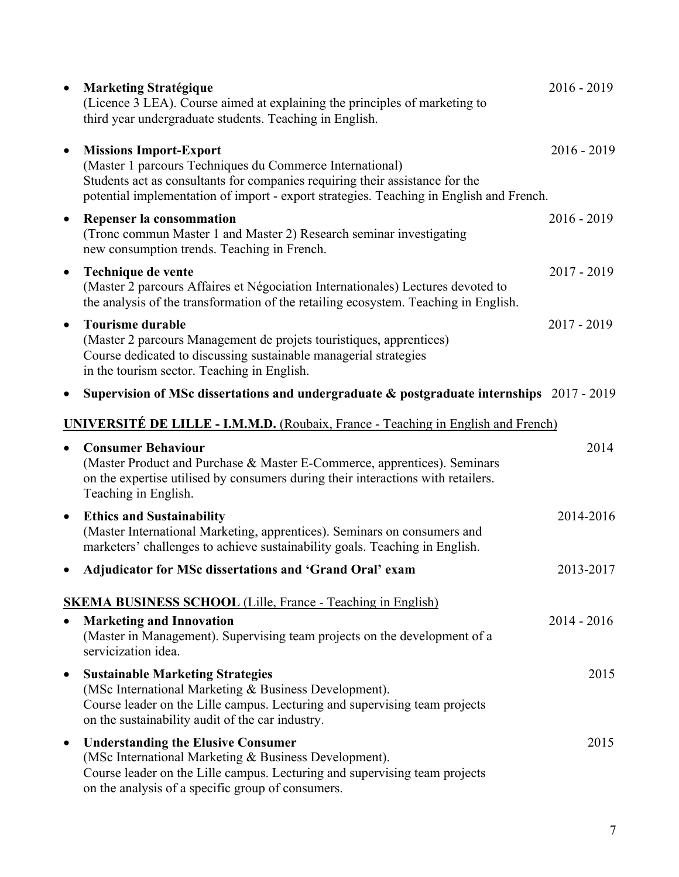| $\bullet$ | <b>Marketing Stratégique</b><br>(Licence 3 LEA). Course aimed at explaining the principles of marketing to<br>third year undergraduate students. Teaching in English.                                                                                                | $2016 - 2019$ |
|-----------|----------------------------------------------------------------------------------------------------------------------------------------------------------------------------------------------------------------------------------------------------------------------|---------------|
| $\bullet$ | <b>Missions Import-Export</b><br>(Master 1 parcours Techniques du Commerce International)<br>Students act as consultants for companies requiring their assistance for the<br>potential implementation of import - export strategies. Teaching in English and French. | $2016 - 2019$ |
| $\bullet$ | Repenser la consommation<br>(Tronc commun Master 1 and Master 2) Research seminar investigating<br>new consumption trends. Teaching in French.                                                                                                                       | $2016 - 2019$ |
| $\bullet$ | Technique de vente<br>(Master 2 parcours Affaires et Négociation Internationales) Lectures devoted to<br>the analysis of the transformation of the retailing ecosystem. Teaching in English.                                                                         | $2017 - 2019$ |
| $\bullet$ | <b>Tourisme durable</b><br>(Master 2 parcours Management de projets touristiques, apprentices)<br>Course dedicated to discussing sustainable managerial strategies<br>in the tourism sector. Teaching in English.                                                    | $2017 - 2019$ |
| $\bullet$ | Supervision of MSc dissertations and undergraduate $\&$ postgraduate internships 2017 - 2019                                                                                                                                                                         |               |
|           | <b>UNIVERSITÉ DE LILLE - I.M.M.D.</b> (Roubaix, France - Teaching in English and French)                                                                                                                                                                             |               |
| $\bullet$ | <b>Consumer Behaviour</b><br>(Master Product and Purchase & Master E-Commerce, apprentices). Seminars<br>on the expertise utilised by consumers during their interactions with retailers.<br>Teaching in English.                                                    | 2014          |
| $\bullet$ | <b>Ethics and Sustainability</b><br>(Master International Marketing, apprentices). Seminars on consumers and<br>marketers' challenges to achieve sustainability goals. Teaching in English.                                                                          | 2014-2016     |
| $\bullet$ | Adjudicator for MSc dissertations and 'Grand Oral' exam                                                                                                                                                                                                              | 2013-2017     |
| $\bullet$ | <b>SKEMA BUSINESS SCHOOL</b> (Lille, France - Teaching in English)<br><b>Marketing and Innovation</b><br>(Master in Management). Supervising team projects on the development of a<br>servicization idea.                                                            | $2014 - 2016$ |
| $\bullet$ | <b>Sustainable Marketing Strategies</b><br>(MSc International Marketing & Business Development).<br>Course leader on the Lille campus. Lecturing and supervising team projects<br>on the sustainability audit of the car industry.                                   | 2015          |
| $\bullet$ | <b>Understanding the Elusive Consumer</b><br>(MSc International Marketing & Business Development).<br>Course leader on the Lille campus. Lecturing and supervising team projects<br>on the analysis of a specific group of consumers.                                | 2015          |